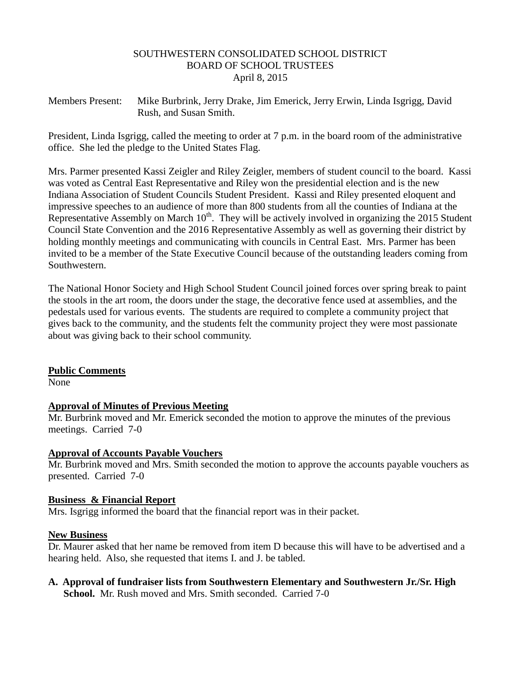### SOUTHWESTERN CONSOLIDATED SCHOOL DISTRICT BOARD OF SCHOOL TRUSTEES April 8, 2015

Members Present: Mike Burbrink, Jerry Drake, Jim Emerick, Jerry Erwin, Linda Isgrigg, David Rush, and Susan Smith.

President, Linda Isgrigg, called the meeting to order at 7 p.m. in the board room of the administrative office. She led the pledge to the United States Flag.

Mrs. Parmer presented Kassi Zeigler and Riley Zeigler, members of student council to the board. Kassi was voted as Central East Representative and Riley won the presidential election and is the new Indiana Association of Student Councils Student President. Kassi and Riley presented eloquent and impressive speeches to an audience of more than 800 students from all the counties of Indiana at the Representative Assembly on March  $10^{th}$ . They will be actively involved in organizing the 2015 Student Council State Convention and the 2016 Representative Assembly as well as governing their district by holding monthly meetings and communicating with councils in Central East. Mrs. Parmer has been invited to be a member of the State Executive Council because of the outstanding leaders coming from Southwestern.

The National Honor Society and High School Student Council joined forces over spring break to paint the stools in the art room, the doors under the stage, the decorative fence used at assemblies, and the pedestals used for various events. The students are required to complete a community project that gives back to the community, and the students felt the community project they were most passionate about was giving back to their school community.

### **Public Comments**

None

# **Approval of Minutes of Previous Meeting**

Mr. Burbrink moved and Mr. Emerick seconded the motion to approve the minutes of the previous meetings. Carried 7-0

### **Approval of Accounts Payable Vouchers**

Mr. Burbrink moved and Mrs. Smith seconded the motion to approve the accounts payable vouchers as presented. Carried 7-0

### **Business & Financial Report**

Mrs. Isgrigg informed the board that the financial report was in their packet.

### **New Business**

Dr. Maurer asked that her name be removed from item D because this will have to be advertised and a hearing held. Also, she requested that items I. and J. be tabled.

**A. Approval of fundraiser lists from Southwestern Elementary and Southwestern Jr./Sr. High School.** Mr. Rush moved and Mrs. Smith seconded. Carried 7-0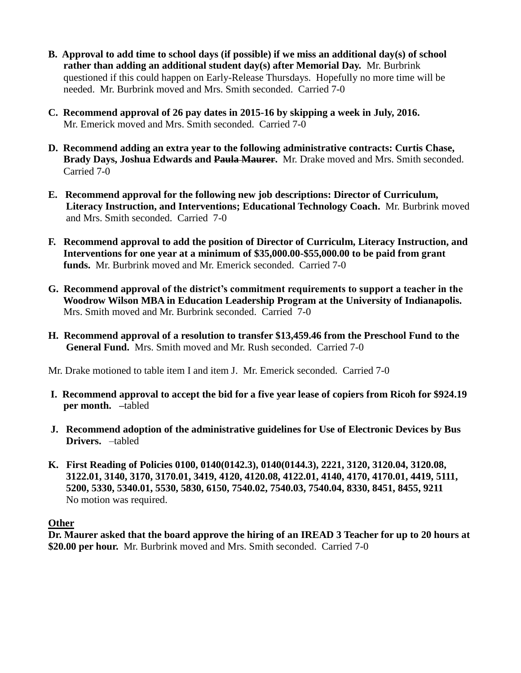- **B. Approval to add time to school days (if possible) if we miss an additional day(s) of school rather than adding an additional student day(s) after Memorial Day.** Mr. Burbrink questioned if this could happen on Early-Release Thursdays. Hopefully no more time will be needed. Mr. Burbrink moved and Mrs. Smith seconded. Carried 7-0
- **C. Recommend approval of 26 pay dates in 2015-16 by skipping a week in July, 2016.** Mr. Emerick moved and Mrs. Smith seconded. Carried 7-0
- **D. Recommend adding an extra year to the following administrative contracts: Curtis Chase, Brady Days, Joshua Edwards and Paula Maurer.** Mr. Drake moved and Mrs. Smith seconded. Carried 7-0
- **E. Recommend approval for the following new job descriptions: Director of Curriculum, Literacy Instruction, and Interventions; Educational Technology Coach.** Mr. Burbrink moved and Mrs. Smith seconded. Carried 7-0
- **F. Recommend approval to add the position of Director of Curriculm, Literacy Instruction, and Interventions for one year at a minimum of \$35,000.00-\$55,000.00 to be paid from grant funds.** Mr. Burbrink moved and Mr. Emerick seconded. Carried 7-0
- **G. Recommend approval of the district's commitment requirements to support a teacher in the Woodrow Wilson MBA in Education Leadership Program at the University of Indianapolis.** Mrs. Smith moved and Mr. Burbrink seconded. Carried 7-0
- **H. Recommend approval of a resolution to transfer \$13,459.46 from the Preschool Fund to the General Fund.** Mrs. Smith moved and Mr. Rush seconded. Carried 7-0

Mr. Drake motioned to table item I and item J. Mr. Emerick seconded. Carried 7-0

- **I. Recommend approval to accept the bid for a five year lease of copiers from Ricoh for \$924.19 per month. –**tabled
- **J. Recommend adoption of the administrative guidelines for Use of Electronic Devices by Bus Drivers.** –tabled
- **K. First Reading of Policies 0100, 0140(0142.3), 0140(0144.3), 2221, 3120, 3120.04, 3120.08, 3122.01, 3140, 3170, 3170.01, 3419, 4120, 4120.08, 4122.01, 4140, 4170, 4170.01, 4419, 5111, 5200, 5330, 5340.01, 5530, 5830, 6150, 7540.02, 7540.03, 7540.04, 8330, 8451, 8455, 9211** No motion was required.

# **Other**

**Dr. Maurer asked that the board approve the hiring of an IREAD 3 Teacher for up to 20 hours at \$20.00 per hour.** Mr. Burbrink moved and Mrs. Smith seconded. Carried 7-0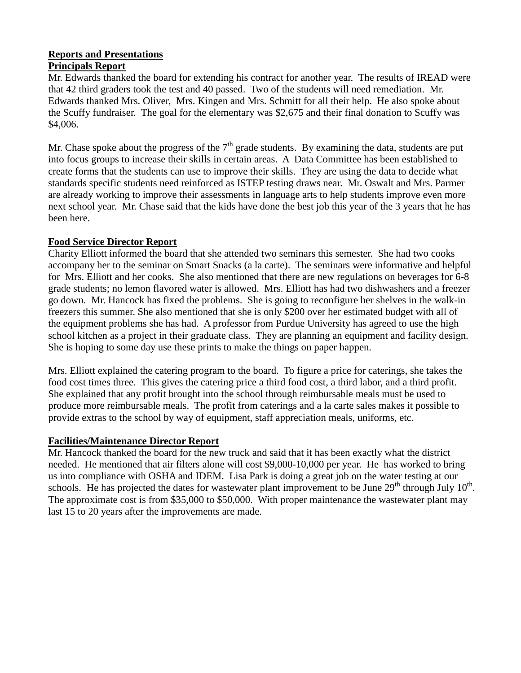### **Reports and Presentations Principals Report**

Mr. Edwards thanked the board for extending his contract for another year. The results of IREAD were that 42 third graders took the test and 40 passed. Two of the students will need remediation. Mr. Edwards thanked Mrs. Oliver, Mrs. Kingen and Mrs. Schmitt for all their help. He also spoke about the Scuffy fundraiser. The goal for the elementary was \$2,675 and their final donation to Scuffy was \$4,006.

Mr. Chase spoke about the progress of the  $7<sup>th</sup>$  grade students. By examining the data, students are put into focus groups to increase their skills in certain areas. A Data Committee has been established to create forms that the students can use to improve their skills. They are using the data to decide what standards specific students need reinforced as ISTEP testing draws near. Mr. Oswalt and Mrs. Parmer are already working to improve their assessments in language arts to help students improve even more next school year. Mr. Chase said that the kids have done the best job this year of the 3 years that he has been here.

# **Food Service Director Report**

Charity Elliott informed the board that she attended two seminars this semester. She had two cooks accompany her to the seminar on Smart Snacks (a la carte). The seminars were informative and helpful for Mrs. Elliott and her cooks. She also mentioned that there are new regulations on beverages for 6-8 grade students; no lemon flavored water is allowed. Mrs. Elliott has had two dishwashers and a freezer go down. Mr. Hancock has fixed the problems. She is going to reconfigure her shelves in the walk-in freezers this summer. She also mentioned that she is only \$200 over her estimated budget with all of the equipment problems she has had. A professor from Purdue University has agreed to use the high school kitchen as a project in their graduate class. They are planning an equipment and facility design. She is hoping to some day use these prints to make the things on paper happen.

Mrs. Elliott explained the catering program to the board. To figure a price for caterings, she takes the food cost times three. This gives the catering price a third food cost, a third labor, and a third profit. She explained that any profit brought into the school through reimbursable meals must be used to produce more reimbursable meals. The profit from caterings and a la carte sales makes it possible to provide extras to the school by way of equipment, staff appreciation meals, uniforms, etc.

# **Facilities/Maintenance Director Report**

Mr. Hancock thanked the board for the new truck and said that it has been exactly what the district needed. He mentioned that air filters alone will cost \$9,000-10,000 per year. He has worked to bring us into compliance with OSHA and IDEM. Lisa Park is doing a great job on the water testing at our schools. He has projected the dates for wastewater plant improvement to be June  $29<sup>th</sup>$  through July  $10<sup>th</sup>$ . The approximate cost is from \$35,000 to \$50,000. With proper maintenance the wastewater plant may last 15 to 20 years after the improvements are made.